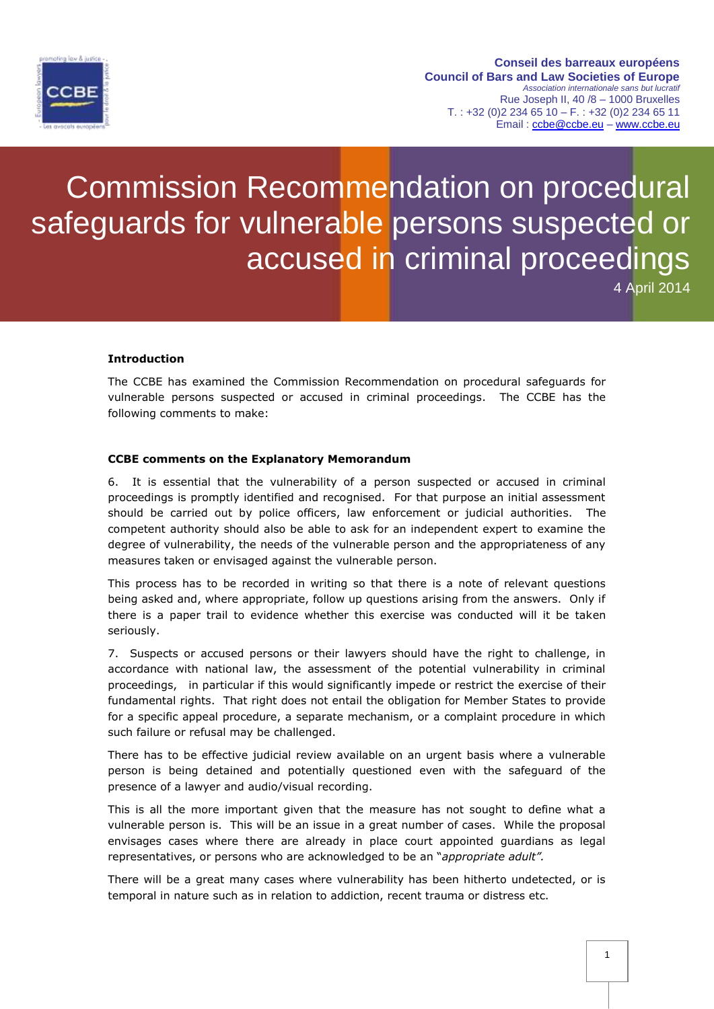

## Commission Recommendation on procedural safeguards for vulnerable persons suspected or accused in criminal proceedings

4 April 2014

## **Introduction**

The CCBE has examined the Commission Recommendation on procedural safeguards for vulnerable persons suspected or accused in criminal proceedings. The CCBE has the following comments to make:

## **CCBE comments on the Explanatory Memorandum**

6. It is essential that the vulnerability of a person suspected or accused in criminal proceedings is promptly identified and recognised. For that purpose an initial assessment should be carried out by police officers, law enforcement or judicial authorities. The competent authority should also be able to ask for an independent expert to examine the degree of vulnerability, the needs of the vulnerable person and the appropriateness of any measures taken or envisaged against the vulnerable person.

This process has to be recorded in writing so that there is a note of relevant questions being asked and, where appropriate, follow up questions arising from the answers. Only if there is a paper trail to evidence whether this exercise was conducted will it be taken seriously.

7. Suspects or accused persons or their lawyers should have the right to challenge, in accordance with national law, the assessment of the potential vulnerability in criminal proceedings, in particular if this would significantly impede or restrict the exercise of their fundamental rights. That right does not entail the obligation for Member States to provide for a specific appeal procedure, a separate mechanism, or a complaint procedure in which such failure or refusal may be challenged.

There has to be effective judicial review available on an urgent basis where a vulnerable person is being detained and potentially questioned even with the safeguard of the presence of a lawyer and audio/visual recording.

This is all the more important given that the measure has not sought to define what a vulnerable person is. This will be an issue in a great number of cases. While the proposal envisages cases where there are already in place court appointed guardians as legal representatives, or persons who are acknowledged to be an "*appropriate adult".* 

There will be a great many cases where vulnerability has been hitherto undetected, or is temporal in nature such as in relation to addiction, recent trauma or distress etc.